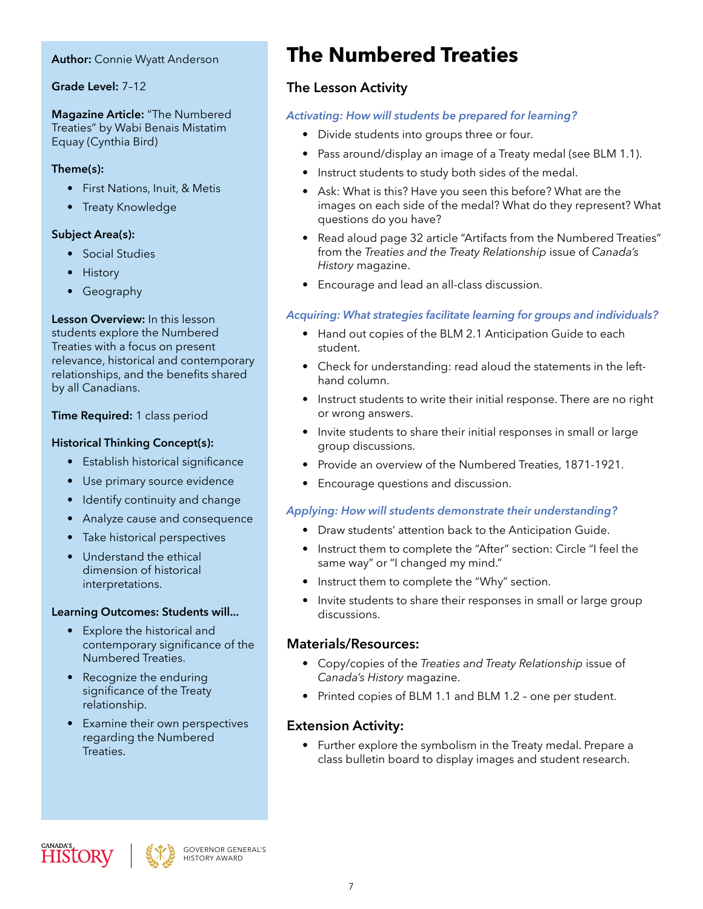#### **Author:** Connie Wyatt Anderson

#### **Grade Level:** 7–12

**Magazine Article:** "The Numbered Treaties" by Wabi Benais Mistatim Equay (Cynthia Bird)

#### **Theme(s):**

- First Nations, Inuit, & Metis
- Treaty Knowledge

#### **Subject Area(s):**

- Social Studies
- History
- Geography

**Lesson Overview:** In this lesson students explore the Numbered Treaties with a focus on present relevance, historical and contemporary relationships, and the benefits shared by all Canadians.

**Time Required:** 1 class period

#### **Historical Thinking Concept(s):**

- Establish historical significance
- Use primary source evidence
- Identify continuity and change
- Analyze cause and consequence
- Take historical perspectives
- Understand the ethical dimension of historical interpretations.

#### **Learning Outcomes: Students will...**

- Explore the historical and contemporary significance of the Numbered Treaties.
- Recognize the enduring significance of the Treaty relationship.
- Examine their own perspectives regarding the Numbered Treaties.

# **The Numbered Treaties**

### **The Lesson Activity**

#### *Activating: How will students be prepared for learning?*

- Divide students into groups three or four.
- Pass around/display an image of a Treaty medal (see BLM 1.1).
- Instruct students to study both sides of the medal.
- Ask: What is this? Have you seen this before? What are the images on each side of the medal? What do they represent? What questions do you have?
- Read aloud page 32 article "Artifacts from the Numbered Treaties" from the *Treaties and the Treaty Relationship* issue of *Canada's History* magazine.
- Encourage and lead an all-class discussion.

#### *Acquiring: What strategies facilitate learning for groups and individuals?*

- Hand out copies of the BLM 2.1 Anticipation Guide to each student.
- Check for understanding: read aloud the statements in the lefthand column.
- Instruct students to write their initial response. There are no right or wrong answers.
- Invite students to share their initial responses in small or large group discussions.
- Provide an overview of the Numbered Treaties, 1871-1921.
- Encourage questions and discussion.

#### *Applying: How will students demonstrate their understanding?*

- Draw students' attention back to the Anticipation Guide.
- Instruct them to complete the "After" section: Circle "I feel the same way" or "I changed my mind."
- Instruct them to complete the "Why" section.
- Invite students to share their responses in small or large group discussions.

#### **Materials/Resources:**

- Copy/copies of the *Treaties and Treaty Relationship* issue of *Canada's History* magazine.
- Printed copies of BLM 1.1 and BLM 1.2 one per student.

#### **Extension Activity:**

• Further explore the symbolism in the Treaty medal. Prepare a class bulletin board to display images and student research.



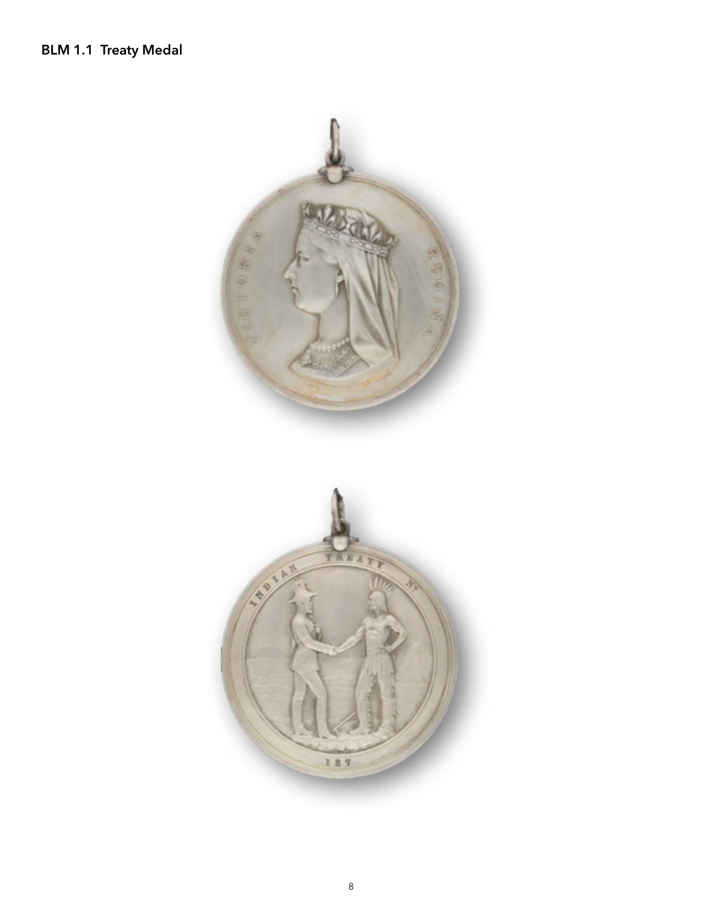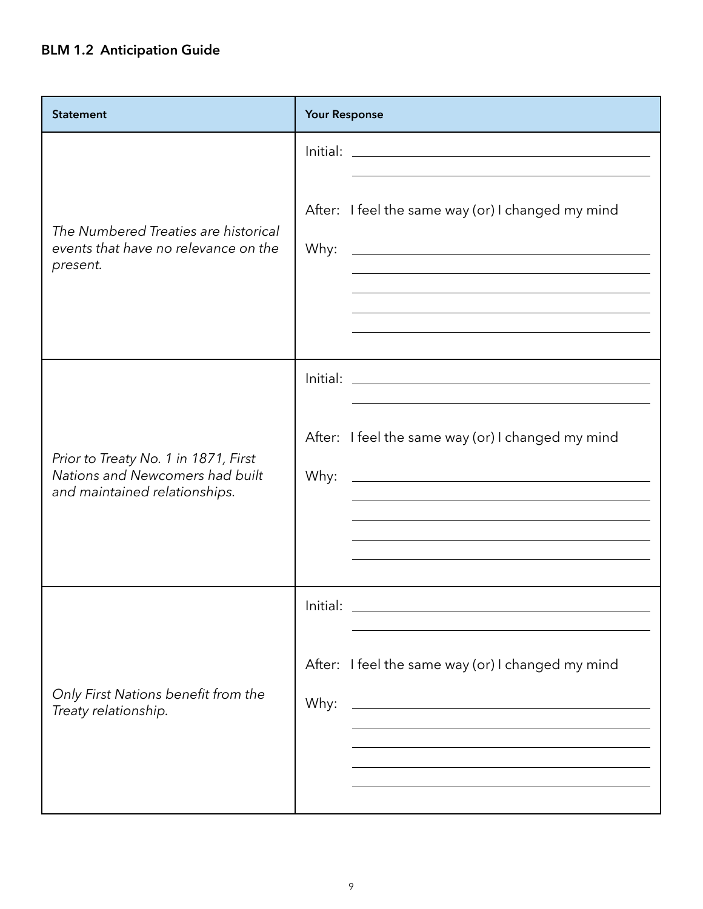## **BLM 1.2 Anticipation Guide**

| <b>Statement</b>                                                                                         | <b>Your Response</b>                                                                                                                                                                           |
|----------------------------------------------------------------------------------------------------------|------------------------------------------------------------------------------------------------------------------------------------------------------------------------------------------------|
| The Numbered Treaties are historical<br>events that have no relevance on the<br>present.                 | After: I feel the same way (or) I changed my mind<br>Why:<br><u> 1989 - Johann Barn, mars ann an t-Amhain Aonaich an t-Aonaich an t-Aonaich ann an t-Aonaich ann an t-Aonaich</u>              |
| Prior to Treaty No. 1 in 1871, First<br>Nations and Newcomers had built<br>and maintained relationships. | After: I feel the same way (or) I changed my mind<br>Why:<br><u> 1989 - Johann Barn, amerikansk politiker (d. 1989)</u>                                                                        |
| Only First Nations benefit from the<br>Treaty relationship.                                              | Initial:<br>After: I feel the same way (or) I changed my mind<br>Why:<br><u> 1989 - Johann Stoff, deutscher Stoff, der Stoff, der Stoff, der Stoff, der Stoff, der Stoff, der Stoff, der S</u> |